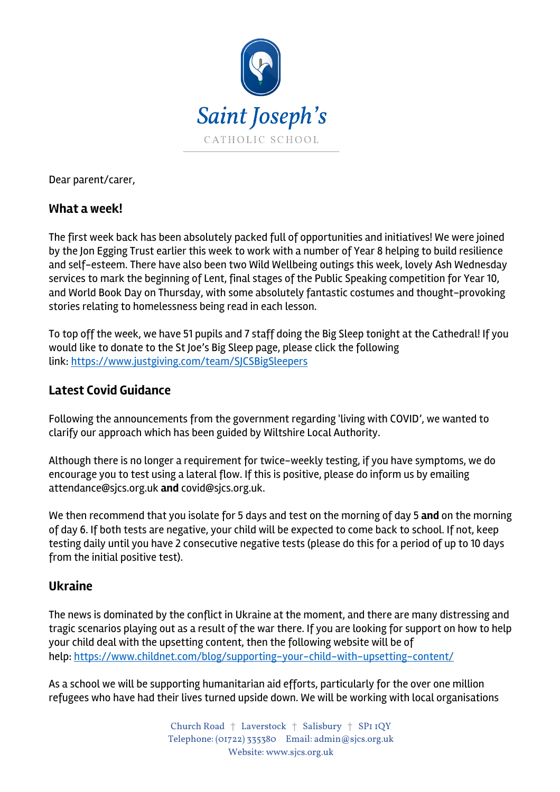

Dear parent/carer,

## **What a week!**

The first week back has been absolutely packed full of opportunities and initiatives! We were joined by the Jon Egging Trust earlier this week to work with a number of Year 8 helping to build resilience and self-esteem. There have also been two Wild Wellbeing outings this week, lovely Ash Wednesday services to mark the beginning of Lent, final stages of the Public Speaking competition for Year 10, and World Book Day on Thursday, with some absolutely fantastic costumes and thought-provoking stories relating to homelessness being read in each lesson.

To top off the week, we have 51 pupils and 7 staff doing the Big Sleep tonight at the Cathedral! If you would like to donate to the St Joe's Big Sleep page, please click the following link: https://www.justgiving.com/team/SJCSBigSleepers

# **Latest Covid Guidance**

Following the announcements from the government regarding 'living with COVID', we wanted to clarify our approach which has been guided by Wiltshire Local Authority.

Although there is no longer a requirement for twice-weekly testing, if you have symptoms, we do encourage you to test using a lateral flow. If this is positive, please do inform us by emailing attendance@sjcs.org.uk **and** covid@sjcs.org.uk.

We then recommend that you isolate for 5 days and test on the morning of day 5 **and** on the morning of day 6. If both tests are negative, your child will be expected to come back to school. If not, keep testing daily until you have 2 consecutive negative tests (please do this for a period of up to 10 days from the initial positive test).

### **Ukraine**

The news is dominated by the conflict in Ukraine at the moment, and there are many distressing and tragic scenarios playing out as a result of the war there. If you are looking for support on how to help your child deal with the upsetting content, then the following website will be of help: https://www.childnet.com/blog/supporting-your-child-with-upsetting-content/

As a school we will be supporting humanitarian aid efforts, particularly for the over one million refugees who have had their lives turned upside down. We will be working with local organisations

> Church Road † Laverstock † Salisbury † SP1 1QY Telephone: (01722) 335380 Email: admin@sjcs.org.uk Website: www.sjcs.org.uk